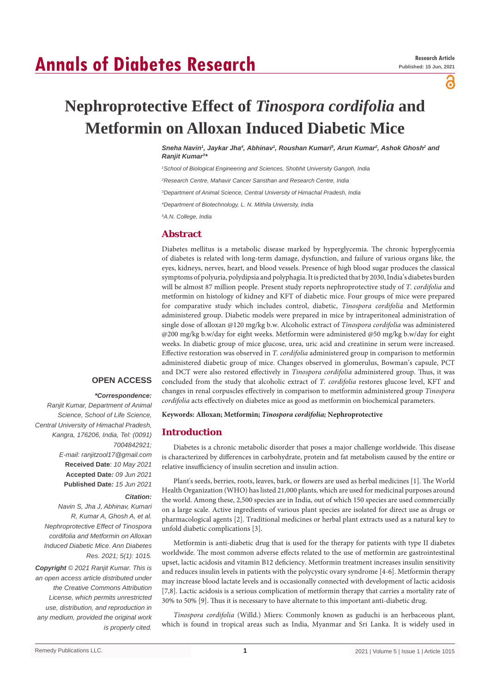# **Annals of Diabetes Research**

പ്പ

# **Nephroprotective Effect of** *Tinospora cordifolia* **and Metformin on Alloxan Induced Diabetic Mice**

*Sneha Navin', Jaykar Jha<del>'</del>, Abhinav', Roushan Kumari<sup>s</sup>, Arun Kumar<sup>2</sup>, Ashok Ghosh<sup>2</sup> and Ranjit Kumar3 \**

*1 School of Biological Engineering and Sciences, Shobhit University Gangoh, India*

*2 Research Centre, Mahavir Cancer Sansthan and Research Centre, India*

*3 Department of Animal Science, Central University of Himachal Pradesh, India*

*4 Department of Biotechnology, L. N. Mithila University, India*

*5 A.N. College, India*

# **Abstract**

Diabetes mellitus is a metabolic disease marked by hyperglycemia. The chronic hyperglycemia of diabetes is related with long-term damage, dysfunction, and failure of various organs like, the eyes, kidneys, nerves, heart, and blood vessels. Presence of high blood sugar produces the classical symptoms of polyuria, polydipsia and polyphagia. It is predicted that by 2030, India's diabetes burden will be almost 87 million people. Present study reports nephroprotective study of *T. cordifolia* and metformin on histology of kidney and KFT of diabetic mice. Four groups of mice were prepared for comparative study which includes control, diabetic, *Tinospora cordifolia* and Metformin administered group. Diabetic models were prepared in mice by intraperitoneal administration of single dose of alloxan @120 mg/kg b.w. Alcoholic extract of *Tinospora cordifolia* was administered @200 mg/kg b.w/day for eight weeks. Metformin were administered @50 mg/kg b.w/day for eight weeks. In diabetic group of mice glucose, urea, uric acid and creatinine in serum were increased. Effective restoration was observed in *T. cordifolia* administered group in comparison to metformin administered diabetic group of mice. Changes observed in glomerulus, Bowman's capsule, PCT and DCT were also restored effectively in *Tinospora cordifolia* administered group. Thus, it was concluded from the study that alcoholic extract of *T. cordifolia* restores glucose level, KFT and changes in renal corpuscles effectively in comparison to metformin administered group *Tinospora cordifolia* acts effectively on diabetes mice as good as metformin on biochemical parameters.

## **OPEN ACCESS**

#### *\*Correspondence:*

*Ranjit Kumar, Department of Animal Science, School of Life Science, Central University of Himachal Pradesh, Kangra, 176206, India, Tel: (0091) 7004842921; E-mail: ranjitzool17@gmail.com* **Received Date**: *10 May 2021* **Accepted Date***: 09 Jun 2021* **Published Date***: 15 Jun 2021*

#### *Citation:*

*Navin S, Jha J, Abhinav, Kumari R, Kumar A, Ghosh A, et al. Nephroprotective Effect of Tinospora cordifolia and Metformin on Alloxan Induced Diabetic Mice. Ann Diabetes Res. 2021; 5(1): 1015.*

*Copyright © 2021 Ranjit Kumar. This is an open access article distributed under the Creative Commons Attribution License, which permits unrestricted use, distribution, and reproduction in any medium, provided the original work is properly cited.*

**Keywords: Alloxan; Metformin;** *Tinospora cordifolia;* **Nephroprotective**

# **Introduction**

Diabetes is a chronic metabolic disorder that poses a major challenge worldwide. This disease is characterized by differences in carbohydrate, protein and fat metabolism caused by the entire or relative insufficiency of insulin secretion and insulin action.

Plant's seeds, berries, roots, leaves, bark, or flowers are used as herbal medicines [1]. The World Health Organization (WHO) has listed 21,000 plants, which are used for medicinal purposes around the world. Among these, 2,500 species are in India, out of which 150 species are used commercially on a large scale. Active ingredients of various plant species are isolated for direct use as drugs or pharmacological agents [2]. Traditional medicines or herbal plant extracts used as a natural key to unfold diabetic complications [3].

Metformin is anti-diabetic drug that is used for the therapy for patients with type II diabetes worldwide. The most common adverse effects related to the use of metformin are gastrointestinal upset, lactic acidosis and vitamin B12 deficiency. Metformin treatment increases insulin sensitivity and reduces insulin levels in patients with the polycystic ovary syndrome [4-6]. Metformin therapy may increase blood lactate levels and is occasionally connected with development of lactic acidosis [7,8]. Lactic acidosis is a serious complication of metformin therapy that carries a mortality rate of 30% to 50% [9]. Thus it is necessary to have alternate to this important anti-diabetic drug.

*Tinospora cordifolia* (Willd.) Miers: Commonly known as guduchi is an herbaceous plant, which is found in tropical areas such as India, Myanmar and Sri Lanka. It is widely used in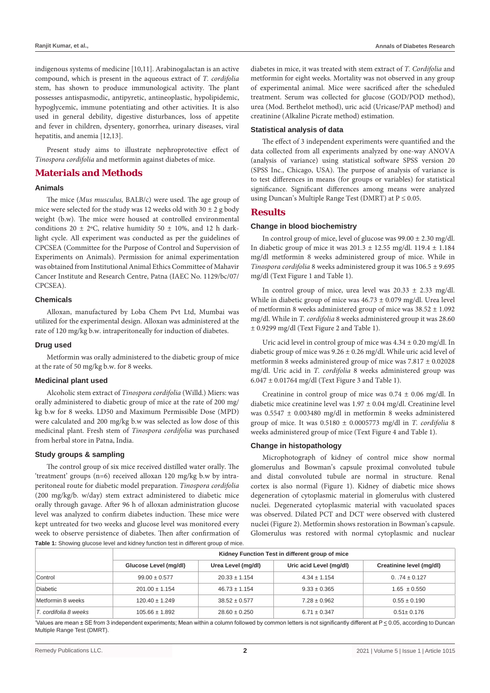indigenous systems of medicine [10,11]. Arabinogalactan is an active compound, which is present in the aqueous extract of *T. cordifolia* stem, has shown to produce immunological activity. The plant possesses antispasmodic, antipyretic, antineoplastic, hypolipidemic, hypoglycemic, immune potentiating and other activities. It is also used in general debility, digestive disturbances, loss of appetite and fever in children, dysentery, gonorrhea, urinary diseases, viral hepatitis, and anemia [12,13].

Present study aims to illustrate nephroprotective effect of *Tinospora cordifolia* and metformin against diabetes of mice.

# **Materials and Methods**

## **Animals**

The mice (*Mus musculus,* BALB/c) were used. The age group of mice were selected for the study was 12 weeks old with  $30 \pm 2$  g body weight (b.w). The mice were housed at controlled environmental conditions 20  $\pm$  2°C, relative humidity 50  $\pm$  10%, and 12 h darklight cycle. All experiment was conducted as per the guidelines of CPCSEA (Committee for the Purpose of Control and Supervision of Experiments on Animals). Permission for animal experimentation was obtained from Institutional Animal Ethics Committee of Mahavir Cancer Institute and Research Centre, Patna (IAEC No. 1129/bc/07/ CPCSEA).

### **Chemicals**

Alloxan, manufactured by Loba Chem Pvt Ltd, Mumbai was utilized for the experimental design. Alloxan was administered at the rate of 120 mg/kg b.w. intraperitoneally for induction of diabetes.

#### **Drug used**

Metformin was orally administered to the diabetic group of mice at the rate of 50 mg/kg b.w. for 8 weeks.

#### **Medicinal plant used**

Alcoholic stem extract of *Tinospora cordifolia* (Willd.) Miers: was orally administered to diabetic group of mice at the rate of 200 mg/ kg b.w for 8 weeks. LD50 and Maximum Permissible Dose (MPD) were calculated and 200 mg/kg b.w was selected as low dose of this medicinal plant. Fresh stem of *Tinospora cordifolia* was purchased from herbal store in Patna, India.

## **Study groups & sampling**

The control group of six mice received distilled water orally. The 'treatment' groups (n=6) received alloxan 120 mg/kg b.w by intraperitoneal route for diabetic model preparation. *Tinospora cordifolia* (200 mg/kg/b. w/day) stem extract administered to diabetic mice orally through gavage. After 96 h of alloxan administration glucose level was analyzed to confirm diabetes induction. These mice were kept untreated for two weeks and glucose level was monitored every week to observe persistence of diabetes. Then after confirmation of **Table 1:** Showing glucose level and kidney function test in different group of mice diabetes in mice, it was treated with stem extract of *T. Cordifolia* and metformin for eight weeks. Mortality was not observed in any group of experimental animal. Mice were sacrificed after the scheduled treatment. Serum was collected for glucose (GOD/POD method), urea (Mod. Berthelot method), uric acid (Uricase/PAP method) and creatinine (Alkaline Picrate method) estimation.

## **Statistical analysis of data**

The effect of 3 independent experiments were quantified and the data collected from all experiments analyzed by one-way ANOVA (analysis of variance) using statistical software SPSS version 20 (SPSS Inc., Chicago, USA). The purpose of analysis of variance is to test differences in means (for groups or variables) for statistical significance. Significant differences among means were analyzed using Duncan's Multiple Range Test (DMRT) at  $P \le 0.05$ .

## **Results**

### **Change in blood biochemistry**

In control group of mice, level of glucose was 99.00 ± 2.30 mg/dl. In diabetic group of mice it was  $201.3 \pm 12.55$  mg/dl. 119.4  $\pm$  1.184 mg/dl metformin 8 weeks administered group of mice. While in *Tinospora cordifolia* 8 weeks administered group it was 106.5 ± 9.695 mg/dl (Text Figure 1 and Table 1).

In control group of mice, urea level was  $20.33 \pm 2.33$  mg/dl. While in diabetic group of mice was  $46.73 \pm 0.079$  mg/dl. Urea level of metformin 8 weeks administered group of mice was  $38.52 \pm 1.092$ mg/dl. While in *T. cordifolia* 8 weeks administered group it was 28.60 ± 0.9299 mg/dl (Text Figure 2 and Table 1).

Uric acid level in control group of mice was 4.34 ± 0.20 mg/dl. In diabetic group of mice was 9.26 ± 0.26 mg/dl. While uric acid level of metformin 8 weeks administered group of mice was 7.817 ± 0.02028 mg/dl. Uric acid in *T. cordifolia* 8 weeks administered group was  $6.047 \pm 0.01764$  mg/dl (Text Figure 3 and Table 1).

Creatinine in control group of mice was  $0.74 \pm 0.06$  mg/dl. In diabetic mice creatinine level was 1.97 ± 0.04 mg/dl. Creatinine level was 0.5547 ± 0.003480 mg/dl in metformin 8 weeks administered group of mice. It was 0.5180 ± 0.0005773 mg/dl in *T. cordifolia* 8 weeks administered group of mice (Text Figure 4 and Table 1).

## **Change in histopathology**

Microphotograph of kidney of control mice show normal glomerulus and Bowman's capsule proximal convoluted tubule and distal convoluted tubule are normal in structure. Renal cortex is also normal (Figure 1). Kidney of diabetic mice shows degeneration of cytoplasmic material in glomerulus with clustered nuclei. Degenerated cytoplasmic material with vacuolated spaces was observed. Dilated PCT and DCT were observed with clustered nuclei (Figure 2). Metformin shows restoration in Bowman's capsule. Glomerulus was restored with normal cytoplasmic and nuclear

|                       | Kidney Function Test in different group of mice |                    |                         |                          |
|-----------------------|-------------------------------------------------|--------------------|-------------------------|--------------------------|
|                       | Glucose Level (mg/dl)                           | Urea Level (mg/dl) | Uric acid Level (mg/dl) | Creatinine level (mg/dl) |
| Control               | $99.00 \pm 0.577$                               | $20.33 \pm 1.154$  | $4.34 \pm 1.154$        | $0.74 \pm 0.127$         |
| <b>Diabetic</b>       | $201.00 \pm 1.154$                              | $46.73 \pm 1.154$  | $9.33 \pm 0.365$        | $1.65 \pm 0.550$         |
| Metformin 8 weeks     | $120.40 \pm 1.249$                              | $38.52 \pm 0.577$  | $7.28 \pm 0.962$        | $0.55 \pm 0.190$         |
| T. cordifolia 8 weeks | $105.66 \pm 1.892$                              | $28.60 \pm 0.250$  | $6.71 \pm 0.347$        | $0.51 \pm 0.176$         |

'Values are mean ± SE from 3 independent experiments; Mean within a column followed by common letters is not significantly different at P ≤ 0.05, according to Duncan Multiple Range Test (DMRT).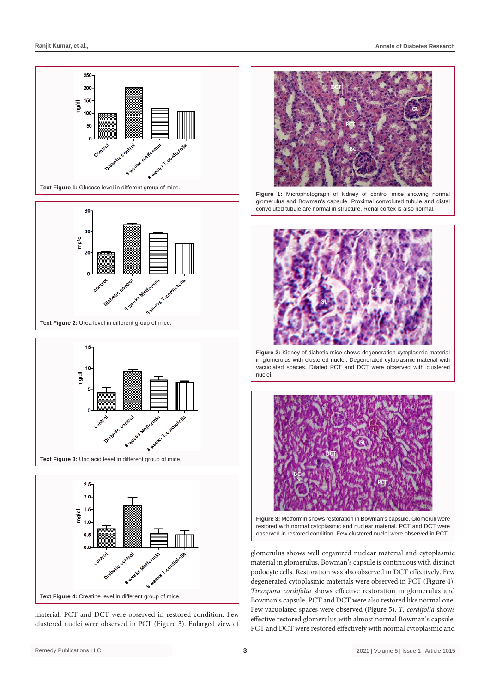

**Text Figure 1:** Glucose level in different group of mice.







material. PCT and DCT were observed in restored condition. Few clustered nuclei were observed in PCT (Figure 3). Enlarged view of



**Figure 1:** Microphotograph of kidney of control mice showing normal glomerulus and Bowman's capsule. Proximal convoluted tubule and distal convoluted tubule are normal in structure. Renal cortex is also normal.



**Figure 2:** Kidney of diabetic mice shows degeneration cytoplasmic material in glomerulus with clustered nuclei. Degenerated cytoplasmic material with vacuolated spaces. Dilated PCT and DCT were observed with clustered nuclei.



**Figure 3:** Metformin shows restoration in Bowman's capsule. Glomeruli were restored with normal cytoplasmic and nuclear material. PCT and DCT were observed in restored condition. Few clustered nuclei were observed in PCT.

glomerulus shows well organized nuclear material and cytoplasmic material in glomerulus. Bowman's capsule is continuous with distinct podocyte cells. Restoration was also observed in DCT effectively. Few degenerated cytoplasmic materials were observed in PCT (Figure 4). *Tinospora cordifolia* shows effective restoration in glomerulus and Bowman's capsule. PCT and DCT were also restored like normal one. Few vacuolated spaces were observed (Figure 5). *T. cordifolia* shows effective restored glomerulus with almost normal Bowman's capsule. PCT and DCT were restored effectively with normal cytoplasmic and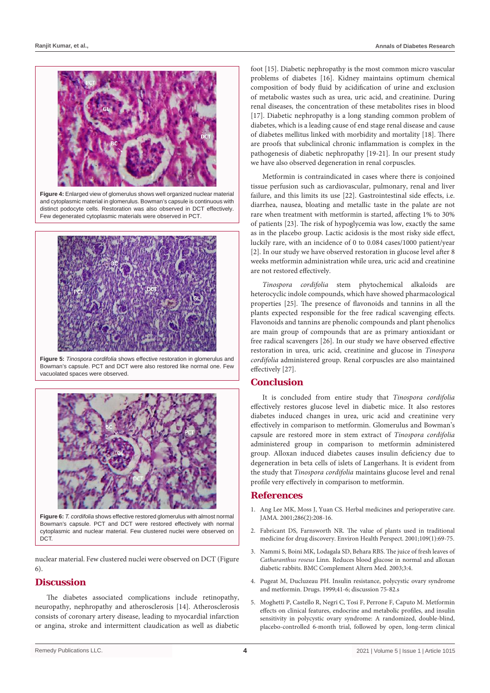

**Figure 4:** Enlarged view of glomerulus shows well organized nuclear material and cytoplasmic material in glomerulus. Bowman's capsule is continuous with distinct podocyte cells. Restoration was also observed in DCT effectively. Few degenerated cytoplasmic materials were observed in PCT.



**Figure 5:** *Tinospora cordifolia* shows effective restoration in glomerulus and Bowman's capsule. PCT and DCT were also restored like normal one. Few vacuolated spaces were observed.



**Figure 6:** *T. cordifolia* shows effective restored glomerulus with almost normal Bowman's capsule. PCT and DCT were restored effectively with normal cytoplasmic and nuclear material. Few clustered nuclei were observed on DCT.

nuclear material. Few clustered nuclei were observed on DCT (Figure 6).

# **Discussion**

The diabetes associated complications include retinopathy, neuropathy, nephropathy and atherosclerosis [14]. Atherosclerosis consists of coronary artery disease, leading to myocardial infarction or angina, stroke and intermittent claudication as well as diabetic

foot [15]. Diabetic nephropathy is the most common micro vascular problems of diabetes [16]. Kidney maintains optimum chemical composition of body fluid by acidification of urine and exclusion of metabolic wastes such as urea, uric acid, and creatinine. During renal diseases, the concentration of these metabolites rises in blood [17]. Diabetic nephropathy is a long standing common problem of diabetes, which is a leading cause of end stage renal disease and cause of diabetes mellitus linked with morbidity and mortality [18]. There are proofs that subclinical chronic inflammation is complex in the pathogenesis of diabetic nephropathy [19-21]. In our present study we have also observed degeneration in renal corpuscles.

Metformin is contraindicated in cases where there is conjoined tissue perfusion such as cardiovascular, pulmonary, renal and liver failure, and this limits its use [22]. Gastrointestinal side effects, i.e. diarrhea, nausea, bloating and metallic taste in the palate are not rare when treatment with metformin is started, affecting 1% to 30% of patients [23]. The risk of hypoglycemia was low, exactly the same as in the placebo group. Lactic acidosis is the most risky side effect, luckily rare, with an incidence of 0 to 0.084 cases/1000 patient/year [2]. In our study we have observed restoration in glucose level after 8 weeks metformin administration while urea, uric acid and creatinine are not restored effectively.

*Tinospora cordifolia* stem phytochemical alkaloids are heterocyclic indole compounds, which have showed pharmacological properties [25]. The presence of flavonoids and tannins in all the plants expected responsible for the free radical scavenging effects. Flavonoids and tannins are phenolic compounds and plant phenolics are main group of compounds that are as primary antioxidant or free radical scavengers [26]. In our study we have observed effective restoration in urea, uric acid, creatinine and glucose in *Tinospora cordifolia* administered group. Renal corpuscles are also maintained effectively [27].

# **Conclusion**

It is concluded from entire study that *Tinospora cordifolia* effectively restores glucose level in diabetic mice. It also restores diabetes induced changes in urea, uric acid and creatinine very effectively in comparison to metformin. Glomerulus and Bowman's capsule are restored more in stem extract of *Tinospora cordifolia* administered group in comparison to metformin administered group. Alloxan induced diabetes causes insulin deficiency due to degeneration in beta cells of islets of Langerhans. It is evident from the study that *Tinospora cordifolia* maintains glucose level and renal profile very effectively in comparison to metformin.

# **References**

- 1. [Ang Lee MK, Moss J, Yuan CS. Herbal medicines and perioperative care.](https://jamanetwork.com/journals/jama/article-abstract/194003)  [JAMA. 2001;286\(2\):208-16.](https://jamanetwork.com/journals/jama/article-abstract/194003)
- 2. [Fabricant DS, Farnsworth NR. The value of plants used in traditional](https://ehp.niehs.nih.gov/doi/10.1289/ehp.01109s169)  [medicine for drug discovery. Environ Health Perspect. 2001;109\(1\):69-75.](https://ehp.niehs.nih.gov/doi/10.1289/ehp.01109s169)
- 3. [Nammi S, Boini MK, Lodagala SD, Behara RBS. The juice of fresh leaves of](https://pubmed.ncbi.nlm.nih.gov/12950994/)  *Catharanthus roseus* [Linn. Reduces blood glucose in normal and alloxan](https://pubmed.ncbi.nlm.nih.gov/12950994/)  [diabetic rabbits. BMC Complement Altern Med. 2003;3:4.](https://pubmed.ncbi.nlm.nih.gov/12950994/)
- 4. [Pugeat M, Ducluzeau PH. Insulin resistance, polycystic ovary syndrome](https://pubmed.ncbi.nlm.nih.gov/10576524/)  [and metformin. Drugs. 1999;41-6; discussion 75-82.](https://pubmed.ncbi.nlm.nih.gov/10576524/)s
- 5. [Moghetti P, Castello R, Negri C, Tosi F, Perrone F, Caputo M. Metformin](https://pubmed.ncbi.nlm.nih.gov/10634377/)  [effects on clinical features, endocrine and metabolic profiles, and insulin](https://pubmed.ncbi.nlm.nih.gov/10634377/)  [sensitivity in polycystic ovary syndrome: A randomized, double-blind,](https://pubmed.ncbi.nlm.nih.gov/10634377/)  [placebo-controlled 6-month trial, followed by open, long-term clinical](https://pubmed.ncbi.nlm.nih.gov/10634377/)